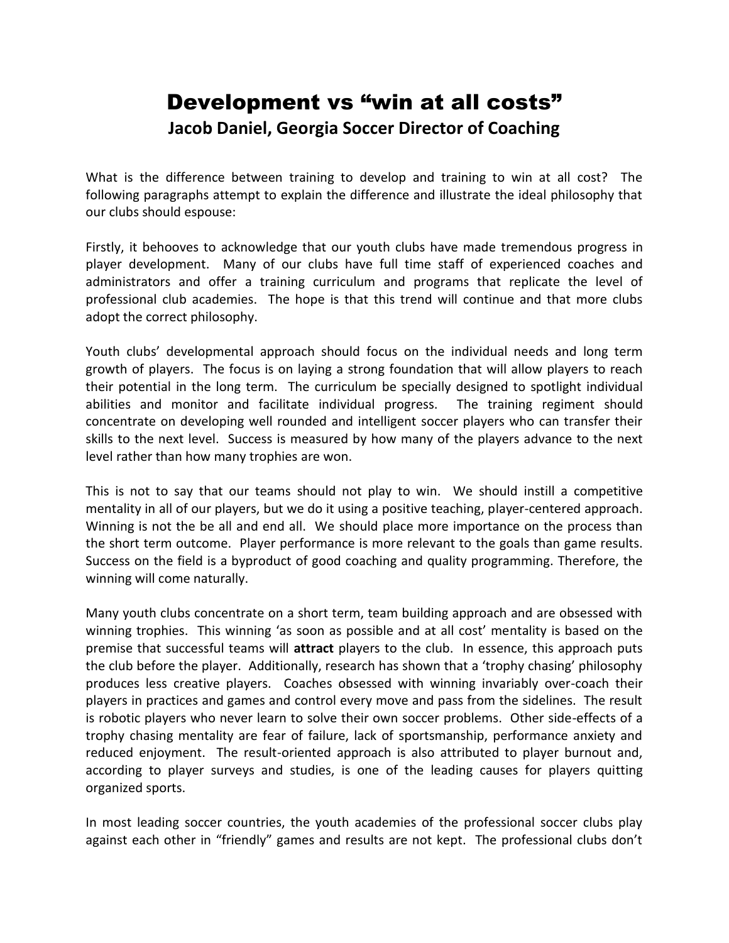## Development vs "win at all costs" **Jacob Daniel, Georgia Soccer Director of Coaching**

What is the difference between training to develop and training to win at all cost? The following paragraphs attempt to explain the difference and illustrate the ideal philosophy that our clubs should espouse:

Firstly, it behooves to acknowledge that our youth clubs have made tremendous progress in player development. Many of our clubs have full time staff of experienced coaches and administrators and offer a training curriculum and programs that replicate the level of professional club academies. The hope is that this trend will continue and that more clubs adopt the correct philosophy.

Youth clubs' developmental approach should focus on the individual needs and long term growth of players. The focus is on laying a strong foundation that will allow players to reach their potential in the long term. The curriculum be specially designed to spotlight individual abilities and monitor and facilitate individual progress. The training regiment should concentrate on developing well rounded and intelligent soccer players who can transfer their skills to the next level. Success is measured by how many of the players advance to the next level rather than how many trophies are won.

This is not to say that our teams should not play to win. We should instill a competitive mentality in all of our players, but we do it using a positive teaching, player-centered approach. Winning is not the be all and end all. We should place more importance on the process than the short term outcome. Player performance is more relevant to the goals than game results. Success on the field is a byproduct of good coaching and quality programming. Therefore, the winning will come naturally.

Many youth clubs concentrate on a short term, team building approach and are obsessed with winning trophies. This winning 'as soon as possible and at all cost' mentality is based on the premise that successful teams will **attract** players to the club. In essence, this approach puts the club before the player. Additionally, research has shown that a 'trophy chasing' philosophy produces less creative players. Coaches obsessed with winning invariably over-coach their players in practices and games and control every move and pass from the sidelines. The result is robotic players who never learn to solve their own soccer problems. Other side-effects of a trophy chasing mentality are fear of failure, lack of sportsmanship, performance anxiety and reduced enjoyment. The result-oriented approach is also attributed to player burnout and, according to player surveys and studies, is one of the leading causes for players quitting organized sports.

In most leading soccer countries, the youth academies of the professional soccer clubs play against each other in "friendly" games and results are not kept. The professional clubs don't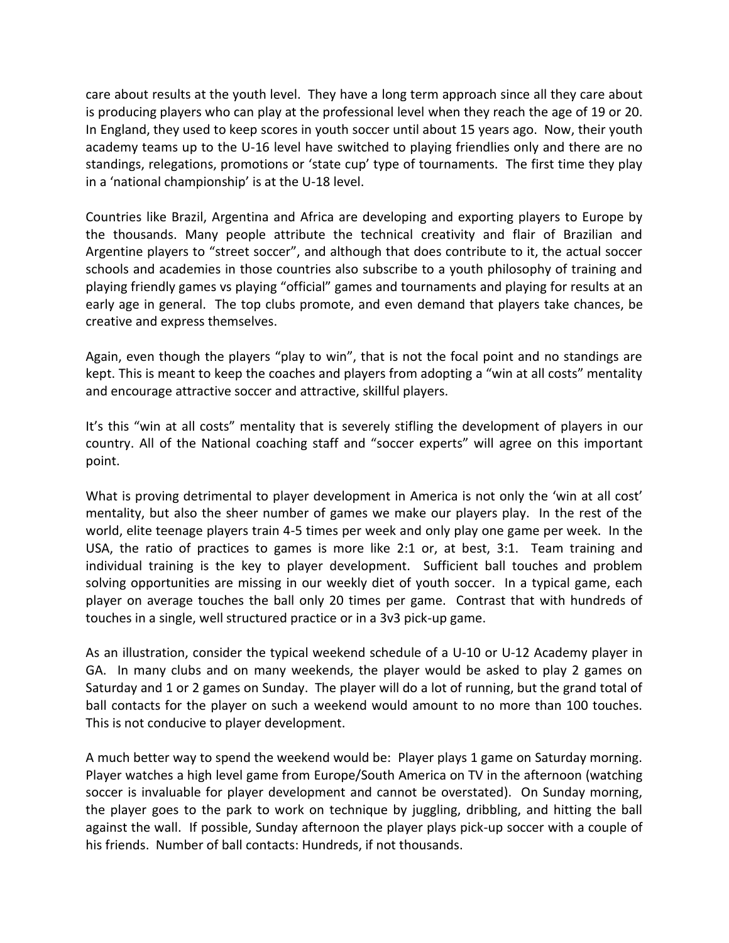care about results at the youth level. They have a long term approach since all they care about is producing players who can play at the professional level when they reach the age of 19 or 20. In England, they used to keep scores in youth soccer until about 15 years ago. Now, their youth academy teams up to the U-16 level have switched to playing friendlies only and there are no standings, relegations, promotions or 'state cup' type of tournaments. The first time they play in a 'national championship' is at the U-18 level.

Countries like Brazil, Argentina and Africa are developing and exporting players to Europe by the thousands. Many people attribute the technical creativity and flair of Brazilian and Argentine players to "street soccer", and although that does contribute to it, the actual soccer schools and academies in those countries also subscribe to a youth philosophy of training and playing friendly games vs playing "official" games and tournaments and playing for results at an early age in general. The top clubs promote, and even demand that players take chances, be creative and express themselves.

Again, even though the players "play to win", that is not the focal point and no standings are kept. This is meant to keep the coaches and players from adopting a "win at all costs" mentality and encourage attractive soccer and attractive, skillful players.

It's this "win at all costs" mentality that is severely stifling the development of players in our country. All of the National coaching staff and "soccer experts" will agree on this important point.

What is proving detrimental to player development in America is not only the 'win at all cost' mentality, but also the sheer number of games we make our players play. In the rest of the world, elite teenage players train 4-5 times per week and only play one game per week. In the USA, the ratio of practices to games is more like 2:1 or, at best, 3:1. Team training and individual training is the key to player development. Sufficient ball touches and problem solving opportunities are missing in our weekly diet of youth soccer. In a typical game, each player on average touches the ball only 20 times per game. Contrast that with hundreds of touches in a single, well structured practice or in a 3v3 pick-up game.

As an illustration, consider the typical weekend schedule of a U-10 or U-12 Academy player in GA. In many clubs and on many weekends, the player would be asked to play 2 games on Saturday and 1 or 2 games on Sunday. The player will do a lot of running, but the grand total of ball contacts for the player on such a weekend would amount to no more than 100 touches. This is not conducive to player development.

A much better way to spend the weekend would be: Player plays 1 game on Saturday morning. Player watches a high level game from Europe/South America on TV in the afternoon (watching soccer is invaluable for player development and cannot be overstated). On Sunday morning, the player goes to the park to work on technique by juggling, dribbling, and hitting the ball against the wall. If possible, Sunday afternoon the player plays pick-up soccer with a couple of his friends. Number of ball contacts: Hundreds, if not thousands.